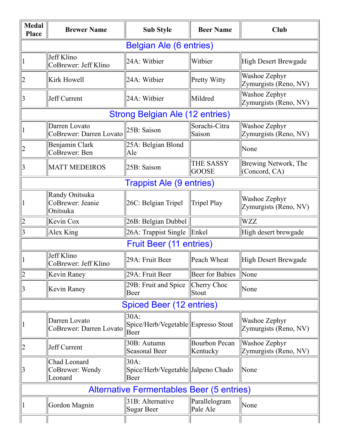| <b>Medal</b><br><b>Place</b>                     | <b>Brewer Name</b>                             | <b>Sub Style</b>                                    | <b>Beer Name</b>                 | <b>Club</b>                            |  |  |  |
|--------------------------------------------------|------------------------------------------------|-----------------------------------------------------|----------------------------------|----------------------------------------|--|--|--|
| <b>Belgian Ale (6 entries)</b>                   |                                                |                                                     |                                  |                                        |  |  |  |
|                                                  | Jeff Klino<br>CoBrewer: Jeff Klino             | 24A: Witbier                                        | Witbier                          | <b>High Desert Brewgade</b>            |  |  |  |
|                                                  | Kirk Howell                                    | 24A: Witbier                                        | Pretty Witty                     | Washoe Zephyr<br>Zymurgists (Reno, NV) |  |  |  |
| 3                                                | Jeff Current                                   | 24A: Witbier                                        | Mildred                          | Washoe Zephyr<br>Zymurgists (Reno, NV) |  |  |  |
| <b>Strong Belgian Ale (12 entries)</b>           |                                                |                                                     |                                  |                                        |  |  |  |
|                                                  | Darren Lovato<br>CoBrewer: Darren Lovato       | 25B: Saison                                         | Sorachi-Citra<br>Saison          | Washoe Zephyr<br>Zymurgists (Reno, NV) |  |  |  |
|                                                  | Benjamin Clark<br>CoBrewer: Ben                | 25A: Belgian Blond<br>Ale                           |                                  | None                                   |  |  |  |
|                                                  | <b>MATT MEDEIROS</b>                           | 25B: Saison                                         | THE SASSY<br><b>GOOSE</b>        | Brewing Network, The<br>(Concord, CA)  |  |  |  |
| <b>Trappist Ale (9 entries)</b>                  |                                                |                                                     |                                  |                                        |  |  |  |
|                                                  | Randy Onitsuka<br>CoBrewer: Jeanie<br>Onitsuka | 26C: Belgian Tripel                                 | <b>Tripel Play</b>               | Washoe Zephyr<br>Zymurgists (Reno, NV) |  |  |  |
|                                                  | Kevin Cox                                      | 26B: Belgian Dubbel                                 |                                  | <b>WZZ</b>                             |  |  |  |
| 3                                                | Alex King                                      | 26A: Trappist Single                                | Enkel                            | High desert brewgade                   |  |  |  |
| <b>Fruit Beer (11 entries)</b>                   |                                                |                                                     |                                  |                                        |  |  |  |
|                                                  | Jeff Klino<br>CoBrewer: Jeff Klino             | 29A: Fruit Beer                                     | Peach Wheat                      | <b>High Desert Brewgade</b>            |  |  |  |
| $\overline{2}$                                   | Kevin Raney                                    | 29A: Fruit Beer                                     | <b>Beer for Babies</b>           | None                                   |  |  |  |
|                                                  | Kevin Raney                                    | 29B: Fruit and Spice<br>Beer                        | Cherry Choc<br>Stout             | None                                   |  |  |  |
| <b>Spiced Beer (12 entries)</b>                  |                                                |                                                     |                                  |                                        |  |  |  |
|                                                  | Darren Lovato<br>CoBrewer: Darren Lovato       | 30A:<br>Spice/Herb/Vegetable Espresso Stout<br>Beer |                                  | Washoe Zephyr<br>Zymurgists (Reno, NV) |  |  |  |
|                                                  | Jeff Current                                   | 30B: Autumn<br><b>Seasonal Beer</b>                 | <b>Bourbon Pecan</b><br>Kentucky | Washoe Zephyr<br>Zymurgists (Reno, NV) |  |  |  |
|                                                  | Chad Leonard<br>CoBrewer: Wendy<br>Leonard     | 30A:<br>Spice/Herb/Vegetable  Jalpeno Chado<br>Beer |                                  | None                                   |  |  |  |
| <b>Alternative Fermentables Beer (5 entries)</b> |                                                |                                                     |                                  |                                        |  |  |  |
|                                                  | Gordon Magnin                                  | 31B: Alternative<br>Sugar Beer                      | Parallelogram<br>Pale Ale        | None                                   |  |  |  |
|                                                  |                                                |                                                     |                                  |                                        |  |  |  |